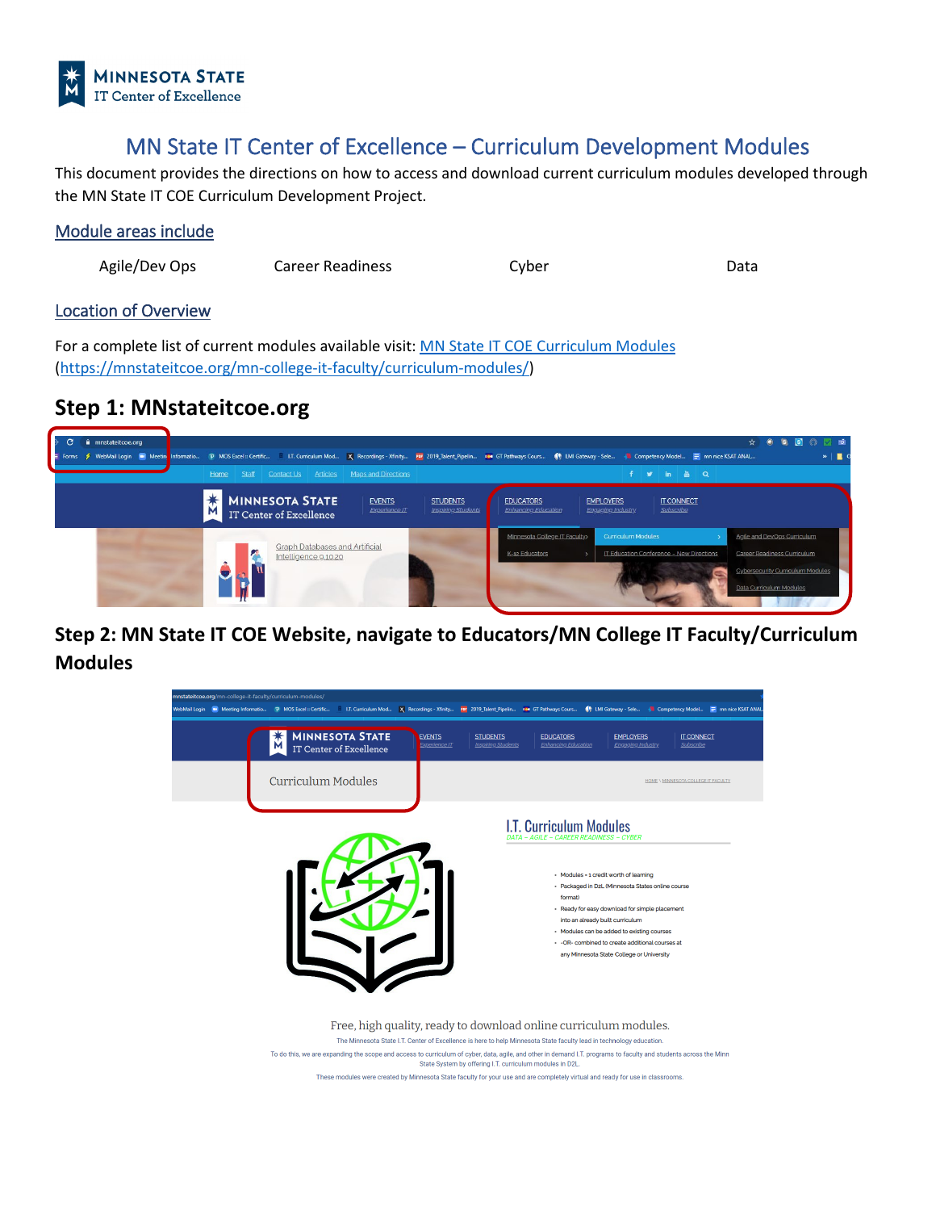

# MN State IT Center of Excellence – Curriculum Development Modules

This document provides the directions on how to access and download current curriculum modules developed through the MN State IT COE Curriculum Development Project.

### Module areas include

Agile/Dev Ops Career Readiness Cyber

Data

### Location of Overview

For a complete list of current modules available visit[: MN State IT COE Curriculum Modules](https://mnstateitcoe.org/mn-college-it-faculty/curriculum-modules/) [\(https://mnstateitcoe.org/mn-college-it-faculty/curriculum-modules/\)](https://mnstateitcoe.org/mn-college-it-faculty/curriculum-modules/)

## **Step 1: MNstateitcoe.org**



**Step 2: MN State IT COE Website, navigate to Educators/MN College IT Faculty/Curriculum Modules**